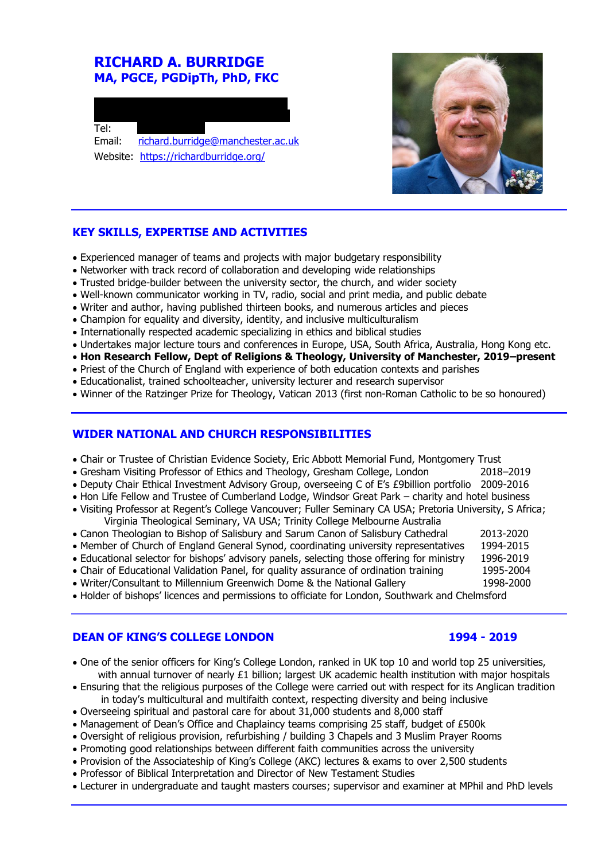# **RICHARD A. BURRIDGE MA, PGCE, PGDipTh, PhD, FKC**





## **KEY SKILLS, EXPERTISE AND ACTIVITIES**

- Experienced manager of teams and projects with major budgetary responsibility
- Networker with track record of collaboration and developing wide relationships
- Trusted bridge-builder between the university sector, the church, and wider society
- Well-known communicator working in TV, radio, social and print media, and public debate
- Writer and author, having published thirteen books, and numerous articles and pieces
- Champion for equality and diversity, identity, and inclusive multiculturalism
- Internationally respected academic specializing in ethics and biblical studies
- Undertakes major lecture tours and conferences in Europe, USA, South Africa, Australia, Hong Kong etc.
- **Hon Research Fellow, Dept of Religions & Theology, University of Manchester, 2019–present**
- Priest of the Church of England with experience of both education contexts and parishes
- Educationalist, trained schoolteacher, university lecturer and research supervisor
- Winner of the Ratzinger Prize for Theology, Vatican 2013 (first non-Roman Catholic to be so honoured)

#### **WIDER NATIONAL AND CHURCH RESPONSIBILITIES**

- Chair or Trustee of Christian Evidence Society, Eric Abbott Memorial Fund, Montgomery Trust
- Gresham Visiting Professor of Ethics and Theology, Gresham College, London 2018–2019
- Deputy Chair Ethical Investment Advisory Group, overseeing C of E's £9billion portfolio 2009-2016
- Hon Life Fellow and Trustee of Cumberland Lodge, Windsor Great Park charity and hotel business
- Visiting Professor at Regent's College Vancouver; Fuller Seminary CA USA; Pretoria University, S Africa; Virginia Theological Seminary, VA USA; Trinity College Melbourne Australia
- Canon Theologian to Bishop of Salisbury and Sarum Canon of Salisbury Cathedral 2013-2020
- Member of Church of England General Synod, coordinating university representatives 1994-2015
- Educational selector for bishops' advisory panels, selecting those offering for ministry 1996-2019
- Chair of Educational Validation Panel, for quality assurance of ordination training 1995-2004
- 
- Writer/Consultant to Millennium Greenwich Dome & the National Gallery 1998-2000
- Holder of bishops' licences and permissions to officiate for London, Southwark and Chelmsford

#### **DEAN OF KING'S COLLEGE LONDON 1994 - 2019**

- One of the senior officers for King's College London, ranked in UK top 10 and world top 25 universities, with annual turnover of nearly £1 billion; largest UK academic health institution with major hospitals
- Ensuring that the religious purposes of the College were carried out with respect for its Anglican tradition in today's multicultural and multifaith context, respecting diversity and being inclusive
- Overseeing spiritual and pastoral care for about 31,000 students and 8,000 staff
- Management of Dean's Office and Chaplaincy teams comprising 25 staff, budget of £500k
- Oversight of religious provision, refurbishing / building 3 Chapels and 3 Muslim Prayer Rooms
- Promoting good relationships between different faith communities across the university
- Provision of the Associateship of King's College (AKC) lectures & exams to over 2,500 students
- Professor of Biblical Interpretation and Director of New Testament Studies
- Lecturer in undergraduate and taught masters courses; supervisor and examiner at MPhil and PhD levels